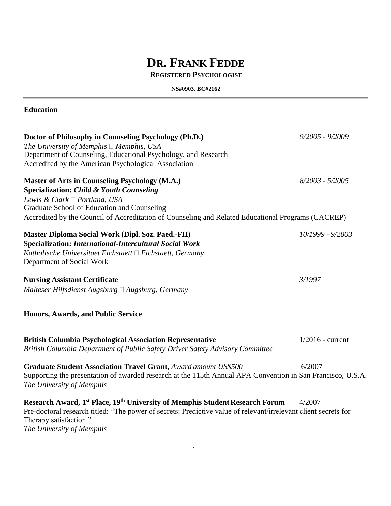# **DR. FRANK FEDDE**

### **REGISTERED PSYCHOLOGIST**

**NS#0903, BC#2162**

| <b>Education</b>                                                                                                                                                                                                                                                                                   |                    |
|----------------------------------------------------------------------------------------------------------------------------------------------------------------------------------------------------------------------------------------------------------------------------------------------------|--------------------|
| Doctor of Philosophy in Counseling Psychology (Ph.D.)<br>The University of Memphis $\Box$ Memphis, USA<br>Department of Counseling, Educational Psychology, and Research<br>Accredited by the American Psychological Association                                                                   | $9/2005 - 9/2009$  |
| <b>Master of Arts in Counseling Psychology (M.A.)</b><br><b>Specialization: Child &amp; Youth Counseling</b><br>Lewis & Clark □ Portland, USA<br>Graduate School of Education and Counseling<br>Accredited by the Council of Accreditation of Counseling and Related Educational Programs (CACREP) | $8/2003 - 5/2005$  |
| Master Diploma Social Work (Dipl. Soz. Paed.-FH)<br><b>Specialization: International-Intercultural Social Work</b><br>Katholische Universitaet Eichstaett $\Box$ Eichstaett, Germany<br>Department of Social Work                                                                                  | 10/1999 - 9/2003   |
| <b>Nursing Assistant Certificate</b><br>Malteser Hilfsdienst Augsburg $\Box$ Augsburg, Germany                                                                                                                                                                                                     | 3/1997             |
| <b>Honors, Awards, and Public Service</b>                                                                                                                                                                                                                                                          |                    |
| <b>British Columbia Psychological Association Representative</b><br>British Columbia Department of Public Safety Driver Safety Advisory Committee                                                                                                                                                  | $1/2016$ - current |
| <b>Graduate Student Association Travel Grant, Award amount US\$500</b><br>Supporting the presentation of awarded research at the 115th Annual APA Convention in San Francisco, U.S.A.<br>The University of Memphis                                                                                 | 6/2007             |
| Research Award, 1 <sup>st</sup> Place, 19 <sup>th</sup> University of Memphis Student Research Forum<br>Pre-doctoral research titled: "The power of secrets: Predictive value of relevant/irrelevant client secrets for<br>Therapy satisfaction."<br>The University of Memphis                     | 4/2007             |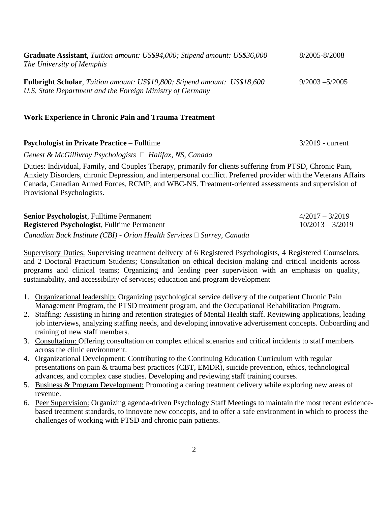| <b>Graduate Assistant</b> , Tuition amount: US\$94,000; Stipend amount: US\$36,000                                                            | 8/2005-8/2008     |
|-----------------------------------------------------------------------------------------------------------------------------------------------|-------------------|
| The University of Memphis                                                                                                                     |                   |
|                                                                                                                                               |                   |
| <b>Fulbright Scholar,</b> Tuition amount: US\$19,800; Stipend amount: US\$18,600<br>U.S. State Department and the Foreign Ministry of Germany | $9/2003 - 5/2005$ |

### **Work Experience in Chronic Pain and Trauma Treatment**

### **Psychologist in Private Practice** – Fulltime **3/2019** - current

*Genest & McGillivray Psychologists Halifax, NS, Canada*

Duties: Individual, Family, and Couples Therapy, primarily for clients suffering from PTSD, Chronic Pain, Anxiety Disorders, chronic Depression, and interpersonal conflict. Preferred provider with the Veterans Affairs Canada, Canadian Armed Forces, RCMP, and WBC-NS. Treatment-oriented assessments and supervision of Provisional Psychologists.

**Senior Psychologist**, Fulltime Permanent 4/2017 – 3/2019 **Registered Psychologist**, Fulltime Permanent 10/2013 – 3/2019 *Canadian Back Institute (CBI) - Orion Health Services Surrey, Canada*

Supervisory Duties: Supervising treatment delivery of 6 Registered Psychologists, 4 Registered Counselors, and 2 Doctoral Practicum Students; Consultation on ethical decision making and critical incidents across programs and clinical teams; Organizing and leading peer supervision with an emphasis on quality, sustainability, and accessibility of services; education and program development

- 1. Organizational leadership: Organizing psychological service delivery of the outpatient Chronic Pain Management Program, the PTSD treatment program, and the Occupational Rehabilitation Program.
- 2. Staffing: Assisting in hiring and retention strategies of Mental Health staff. Reviewing applications, leading job interviews, analyzing staffing needs, and developing innovative advertisement concepts. Onboarding and training of new staff members.
- 3. Consultation: Offering consultation on complex ethical scenarios and critical incidents to staff members across the clinic environment.
- 4. Organizational Development: Contributing to the Continuing Education Curriculum with regular presentations on pain & trauma best practices (CBT, EMDR), suicide prevention, ethics, technological advances, and complex case studies. Developing and reviewing staff training courses.
- 5. Business & Program Development: Promoting a caring treatment delivery while exploring new areas of revenue.
- 6. Peer Supervision: Organizing agenda-driven Psychology Staff Meetings to maintain the most recent evidencebased treatment standards, to innovate new concepts, and to offer a safe environment in which to process the challenges of working with PTSD and chronic pain patients.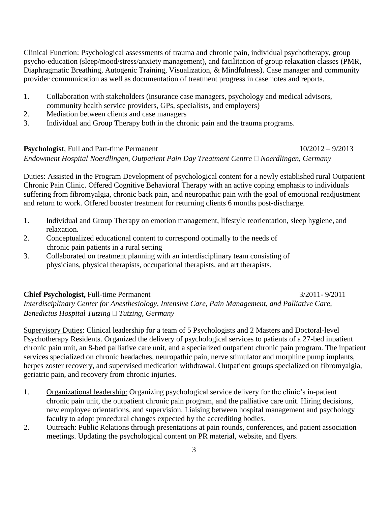Clinical Function: Psychological assessments of trauma and chronic pain, individual psychotherapy, group psycho-education (sleep/mood/stress/anxiety management), and facilitation of group relaxation classes (PMR, Diaphragmatic Breathing, Autogenic Training, Visualization, & Mindfulness). Case manager and community provider communication as well as documentation of treatment progress in case notes and reports.

- 1. Collaboration with stakeholders (insurance case managers, psychology and medical advisors, community health service providers, GPs, specialists, and employers)
- 2. Mediation between clients and case managers
- 3. Individual and Group Therapy both in the chronic pain and the trauma programs.

**Psychologist**, Full and Part-time Permanent 10/2012 – 9/2013 *Endowment Hospital Noerdlingen, Outpatient Pain Day Treatment Centre Noerdlingen, Germany*

Duties: Assisted in the Program Development of psychological content for a newly established rural Outpatient Chronic Pain Clinic. Offered Cognitive Behavioral Therapy with an active coping emphasis to individuals suffering from fibromyalgia, chronic back pain, and neuropathic pain with the goal of emotional readjustment and return to work. Offered booster treatment for returning clients 6 months post-discharge.

- 1. Individual and Group Therapy on emotion management, lifestyle reorientation, sleep hygiene, and relaxation.
- 2. Conceptualized educational content to correspond optimally to the needs of chronic pain patients in a rural setting
- 3. Collaborated on treatment planning with an interdisciplinary team consisting of physicians, physical therapists, occupational therapists, and art therapists.

### **Chief Psychologist,** Full-time Permanent 3/2011- 9/2011

*Interdisciplinary Center for Anesthesiology, Intensive Care, Pain Management, and Palliative Care, Benedictus Hospital Tutzing Tutzing, Germany*

Supervisory Duties: Clinical leadership for a team of 5 Psychologists and 2 Masters and Doctoral-level Psychotherapy Residents. Organized the delivery of psychological services to patients of a 27-bed inpatient chronic pain unit, an 8-bed palliative care unit, and a specialized outpatient chronic pain program. The inpatient services specialized on chronic headaches, neuropathic pain, nerve stimulator and morphine pump implants, herpes zoster recovery, and supervised medication withdrawal. Outpatient groups specialized on fibromyalgia, geriatric pain, and recovery from chronic injuries.

- 1. Organizational leadership: Organizing psychological service delivery for the clinic's in-patient chronic pain unit, the outpatient chronic pain program, and the palliative care unit. Hiring decisions, new employee orientations, and supervision. Liaising between hospital management and psychology faculty to adopt procedural changes expected by the accrediting bodies.
- 2. Outreach: Public Relations through presentations at pain rounds, conferences, and patient association meetings. Updating the psychological content on PR material, website, and flyers.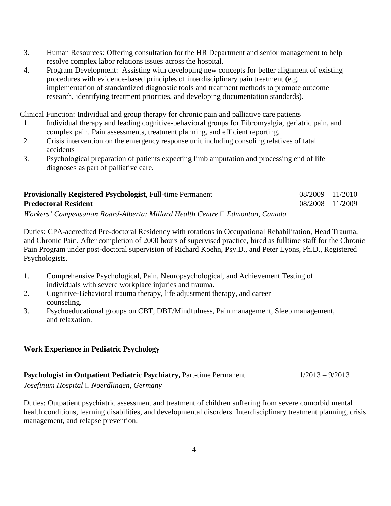- 3. Human Resources: Offering consultation for the HR Department and senior management to help resolve complex labor relations issues across the hospital.
- 4. Program Development: Assisting with developing new concepts for better alignment of existing procedures with evidence-based principles of interdisciplinary pain treatment (e.g. implementation of standardized diagnostic tools and treatment methods to promote outcome research, identifying treatment priorities, and developing documentation standards).

Clinical Function: Individual and group therapy for chronic pain and palliative care patients

- 1. Individual therapy and leading cognitive-behavioral groups for Fibromyalgia, geriatric pain, and complex pain. Pain assessments, treatment planning, and efficient reporting.
- 2. Crisis intervention on the emergency response unit including consoling relatives of fatal accidents
- 3. Psychological preparation of patients expecting limb amputation and processing end of life diagnoses as part of palliative care.

| <b>Provisionally Registered Psychologist, Full-time Permanent</b>                  | $08/2009 - 11/2010$ |
|------------------------------------------------------------------------------------|---------------------|
| <b>Predoctoral Resident</b>                                                        | $08/2008 - 11/2009$ |
| Workers' Compensation Board-Alberta: Millard Health Centre $\Box$ Edmonton, Canada |                     |

Duties: CPA-accredited Pre-doctoral Residency with rotations in Occupational Rehabilitation, Head Trauma, and Chronic Pain. After completion of 2000 hours of supervised practice, hired as fulltime staff for the Chronic Pain Program under post-doctoral supervision of Richard Koehn, Psy.D., and Peter Lyons, Ph.D., Registered Psychologists.

- 1. Comprehensive Psychological, Pain, Neuropsychological, and Achievement Testing of individuals with severe workplace injuries and trauma.
- 2. Cognitive-Behavioral trauma therapy, life adjustment therapy, and career counseling.
- 3. Psychoeducational groups on CBT, DBT/Mindfulness, Pain management, Sleep management, and relaxation.

### **Work Experience in Pediatric Psychology**

**Psychologist in Outpatient Pediatric Psychiatry, Part-time Permanent 1/2013 – 9/2013** 

*Josefinum Hospital Noerdlingen, Germany*

Duties: Outpatient psychiatric assessment and treatment of children suffering from severe comorbid mental health conditions, learning disabilities, and developmental disorders. Interdisciplinary treatment planning, crisis management, and relapse prevention.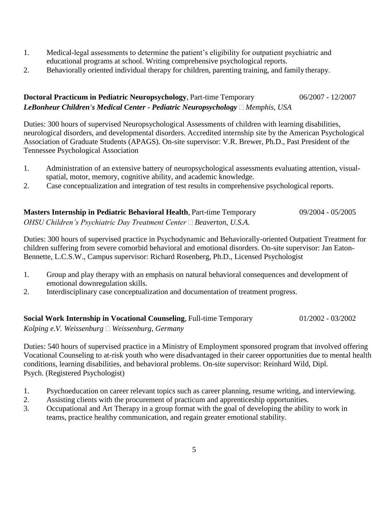- 1. Medical-legal assessments to determine the patient's eligibility for outpatient psychiatric and educational programs at school. Writing comprehensive psychological reports.
- 2. Behaviorally oriented individual therapy for children, parenting training, and family therapy.

### **Doctoral Practicum in Pediatric Neuropsychology**, Part-time Temporary 06/2007 - 12/2007 *LeBonheur Children's Medical Center - Pediatric Neuropsychology Memphis, USA*

Duties: 300 hours of supervised Neuropsychological Assessments of children with learning disabilities, neurological disorders, and developmental disorders. Accredited internship site by the American Psychological Association of Graduate Students (APAGS). On-site supervisor: V.R. Brewer, Ph.D., Past President of the Tennessee Psychological Association

- 1. Administration of an extensive battery of neuropsychological assessments evaluating attention, visualspatial, motor, memory, cognitive ability, and academic knowledge.
- 2. Case conceptualization and integration of test results in comprehensive psychological reports.

| <b>Masters Internship in Pediatric Behavioral Health, Part-time Temporary</b> | 09/2004 - 05/2005 |
|-------------------------------------------------------------------------------|-------------------|
| OHSU Children's Psychiatric Day Treatment Center $\Box$ Beaverton, U.S.A.     |                   |

Duties: 300 hours of supervised practice in Psychodynamic and Behaviorally-oriented Outpatient Treatment for children suffering from severe comorbid behavioral and emotional disorders. On-site supervisor: Jan Eaton-Bennette, L.C.S.W., Campus supervisor: Richard Rosenberg, Ph.D., Licensed Psychologist

- 1. Group and play therapy with an emphasis on natural behavioral consequences and development of emotional downregulation skills.
- 2. Interdisciplinary case conceptualization and documentation of treatment progress.

**Social Work Internship in Vocational Counseling**, Full-time Temporary 01/2002 - 03/2002

*Kolping e.V. Weissenburg Weissenburg, Germany*

Duties: 540 hours of supervised practice in a Ministry of Employment sponsored program that involved offering Vocational Counseling to at-risk youth who were disadvantaged in their career opportunities due to mental health conditions, learning disabilities, and behavioral problems. On-site supervisor: Reinhard Wild, Dipl. Psych. (Registered Psychologist)

- 1. Psychoeducation on career relevant topics such as career planning, resume writing, and interviewing.
- 2. Assisting clients with the procurement of practicum and apprenticeship opportunities.
- 3. Occupational and Art Therapy in a group format with the goal of developing the ability to work in teams, practice healthy communication, and regain greater emotional stability.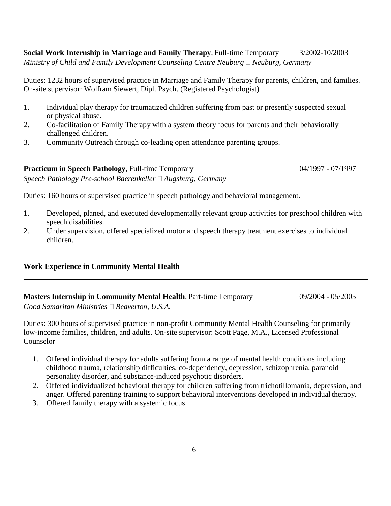**Social Work Internship in Marriage and Family Therapy**, Full-time Temporary 3/2002-10/2003 *Ministry of Child and Family Development Counseling Centre Neuburg*  $\Box$  *Neuburg, Germany* 

Duties: 1232 hours of supervised practice in Marriage and Family Therapy for parents, children, and families. On-site supervisor: Wolfram Siewert, Dipl. Psych. (Registered Psychologist)

- 1. Individual play therapy for traumatized children suffering from past or presently suspected sexual or physical abuse.
- 2. Co-facilitation of Family Therapy with a system theory focus for parents and their behaviorally challenged children.
- 3. Community Outreach through co-leading open attendance parenting groups.

**Practicum in Speech Pathology**, Full-time Temporary 04/1997 - 07/1997 *Speech Pathology Pre-school Baerenkeller Augsburg, Germany*

Duties: 160 hours of supervised practice in speech pathology and behavioral management.

- 1. Developed, planed, and executed developmentally relevant group activities for preschool children with speech disabilities.
- 2. Under supervision, offered specialized motor and speech therapy treatment exercises to individual children.

### **Work Experience in Community Mental Health**

## **Masters Internship in Community Mental Health**, Part-time Temporary 09/2004 - 05/2005

*Good Samaritan Ministries Beaverton, U.S.A.*

Duties: 300 hours of supervised practice in non-profit Community Mental Health Counseling for primarily low-income families, children, and adults. On-site supervisor: Scott Page, M.A., Licensed Professional Counselor

- 1. Offered individual therapy for adults suffering from a range of mental health conditions including childhood trauma, relationship difficulties, co-dependency, depression, schizophrenia, paranoid personality disorder, and substance-induced psychotic disorders.
- 2. Offered individualized behavioral therapy for children suffering from trichotillomania, depression, and anger. Offered parenting training to support behavioral interventions developed in individual therapy.
- 3. Offered family therapy with a systemic focus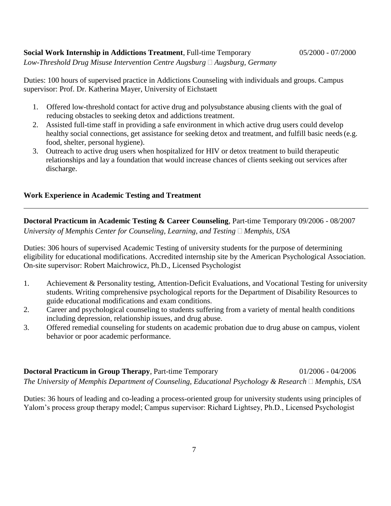### **Social Work Internship in Addictions Treatment**, Full-time Temporary 05/2000 - 07/2000

*Low-Threshold Drug Misuse Intervention Centre Augsburg Augsburg, Germany*

Duties: 100 hours of supervised practice in Addictions Counseling with individuals and groups. Campus supervisor: Prof. Dr. Katherina Mayer, University of Eichstaett

- 1. Offered low-threshold contact for active drug and polysubstance abusing clients with the goal of reducing obstacles to seeking detox and addictions treatment.
- 2. Assisted full-time staff in providing a safe environment in which active drug users could develop healthy social connections, get assistance for seeking detox and treatment, and fulfill basic needs (e.g. food, shelter, personal hygiene).
- 3. Outreach to active drug users when hospitalized for HIV or detox treatment to build therapeutic relationships and lay a foundation that would increase chances of clients seeking out services after discharge.

### **Work Experience in Academic Testing and Treatment**

**Doctoral Practicum in Academic Testing & Career Counseling**, Part-time Temporary 09/2006 - 08/2007 *University of Memphis Center for Counseling, Learning, and Testing*  $\Box$  *Memphis, USA* 

Duties: 306 hours of supervised Academic Testing of university students for the purpose of determining eligibility for educational modifications. Accredited internship site by the American Psychological Association. On-site supervisor: Robert Maichrowicz, Ph.D., Licensed Psychologist

- 1. Achievement & Personality testing, Attention-Deficit Evaluations, and Vocational Testing for university students. Writing comprehensive psychological reports for the Department of Disability Resources to guide educational modifications and exam conditions.
- 2. Career and psychological counseling to students suffering from a variety of mental health conditions including depression, relationship issues, and drug abuse.
- 3. Offered remedial counseling for students on academic probation due to drug abuse on campus, violent behavior or poor academic performance.

**Doctoral Practicum in Group Therapy**, Part-time Temporary 01/2006 - 04/2006 *The University of Memphis Department of Counseling, Educational Psychology & Research*  $\Box$  *Memphis, USA* 

Duties: 36 hours of leading and co-leading a process-oriented group for university students using principles of Yalom's process group therapy model; Campus supervisor: Richard Lightsey, Ph.D., Licensed Psychologist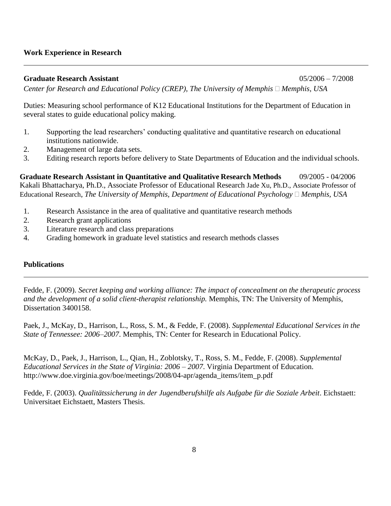### **Work Experience in Research**

**Graduate Research Assistant** 05/2006 – 7/2008 *Center for Research and Educational Policy (CREP), The University of Memphis*  $\Box$  *Memphis, USA* 

Duties: Measuring school performance of K12 Educational Institutions for the Department of Education in several states to guide educational policy making.

- 1. Supporting the lead researchers' conducting qualitative and quantitative research on educational institutions nationwide.
- 2. Management of large data sets.
- 3. Editing research reports before delivery to State Departments of Education and the individual schools.

**Graduate Research Assistant in Quantitative and Qualitative Research Methods** 09/2005 - 04/2006 Kakali Bhattacharya, Ph.D., Associate Professor of Educational Research Jade Xu, Ph.D., Associate Professor of Educational Research, *The University of Memphis, Department of Educational Psychology*  $\Box$  *Memphis, USA* 

- 1. Research Assistance in the area of qualitative and quantitative research methods
- 2. Research grant applications
- 3. Literature research and class preparations
- 4. Grading homework in graduate level statistics and research methods classes

### **Publications**

Fedde, F. (2009). *Secret keeping and working alliance: The impact of concealment on the therapeutic process and the development of a solid client-therapist relationship.* Memphis, TN: The University of Memphis, Dissertation 3400158.

Paek, J., McKay, D., Harrison, L., Ross, S. M., & Fedde, F. (2008). *Supplemental Educational Services in the State of Tennessee: 2006–2007*. Memphis, TN: Center for Research in Educational Policy.

McKay, D., Paek, J., Harrison, L., Qian, H., Zoblotsky, T., Ross, S. M., Fedde, F. (2008). *Supplemental Educational Services in the State of Virginia: 2006 – 2007*. Virginia Department of Education. [http://www.doe.virginia.gov/boe/meetings/2008/04-apr/agenda\\_items/item\\_p.pdf](http://www.doe.virginia.gov/boe/meetings/2008/04-apr/agenda_items/item_p.pdf)

Fedde, F. (2003). Qualitätssicherung in der Jugendberufshilfe als Aufgabe für die Soziale Arbeit. Eichstaett: Universitaet Eichstaett, Masters Thesis.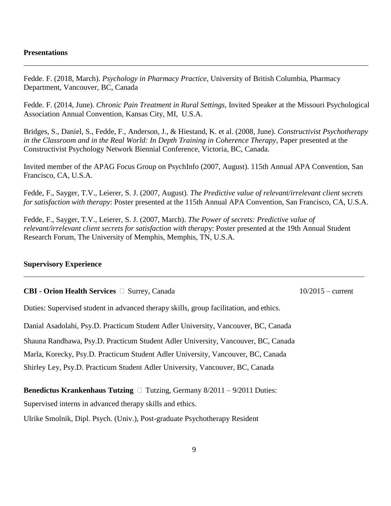### **Presentations**

Fedde. F. (2018, March). *Psychology in Pharmacy Practice*, University of British Columbia, Pharmacy Department, Vancouver, BC, Canada

Fedde. F. (2014, June). *Chronic Pain Treatment in Rural Settings*, Invited Speaker at the Missouri Psychological Association Annual Convention, Kansas City, MI, U.S.A.

Bridges, S., Daniel, S., Fedde, F., Anderson, J., & Hiestand, K. et al. (2008, June). *Constructivist Psychotherapy in the Classroom and in the Real World: In Depth Training in Coherence Therapy*, Paper presented at the Constructivist Psychology Network Biennial Conference, Victoria, BC, Canada.

Invited member of the APAG Focus Group on PsychInfo (2007, August). 115th Annual APA Convention, San Francisco, CA, U.S.A.

Fedde, F., Sayger, T.V., Leierer, S. J. (2007, August). *The Predictive value of relevant/irrelevant client secrets for satisfaction with therapy*: Poster presented at the 115th Annual APA Convention, San Francisco, CA, U.S.A.

Fedde, F., Sayger, T.V., Leierer, S. J. (2007, March). *The Power of secrets: Predictive value of relevant/irrelevant client secrets for satisfaction with therap*y: Poster presented at the 19th Annual Student Research Forum, The University of Memphis, Memphis, TN, U.S.A.

### **Supervisory Experience**

### **CBI - Orion Health Services**  Surrey, Canada 10/2015 – current

Duties: Supervised student in advanced therapy skills, group facilitation, and ethics.

Danial Asadolahi, Psy.D. Practicum Student Adler University, Vancouver, BC, Canada

Shauna Randhawa, Psy.D. Practicum Student Adler University, Vancouver, BC, Canada

Marla, Korecky, Psy.D. Practicum Student Adler University, Vancouver, BC, Canada

Shirley Ley, Psy.D. Practicum Student Adler University, Vancouver, BC, Canada

**Benedictus Krankenhaus Tutzing**  $\Box$  **Tutzing, Germany 8/2011 – 9/2011 Duties:** 

Supervised interns in advanced therapy skills and ethics.

Ulrike Smolnik, Dipl. Psych. (Univ.), Post-graduate Psychotherapy Resident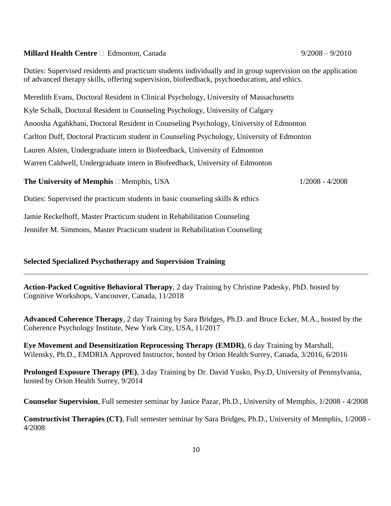### **Millard Health Centre**  $\Box$  Edmonton, Canada 9/2008 – 9/2008 – 9/2010

Duties: Supervised residents and practicum students individually and in group supervision on the application of advanced therapy skills, offering supervision, biofeedback, psychoeducation, and ethics.

Meredith Evans, Doctoral Resident in Clinical Psychology, University of Massachusetts Kyle Schalk, Doctoral Resident in Counseling Psychology, University of Calgary Anoosha Agahkhani, Doctoral Resident in Counseling Psychology, University of Edmonton Carlton Duff, Doctoral Practicum student in Counseling Psychology, University of Edmonton Lauren Alsten, Undergraduate intern in Biofeedback, University of Edmonton Warren Caldwell, Undergraduate intern in Biofeedback, University of Edmonton

### **The University of Memphis** □ Memphis, USA 1/2008 - 4/2008

Duties: Supervised the practicum students in basic counseling skills & ethics

Jamie Reckelhoff, Master Practicum student in Rehabilitation Counseling

Jennifer M. Simmons, Master Practicum student in Rehabilitation Counseling

### **Selected Specialized Psychotherapy and Supervision Training**

**Action-Packed Cognitive Behavioral Therapy**, 2 day Training by Christine Padesky, PhD. hosted by Cognitive Workshops, Vancouver, Canada, 11/2018

**Advanced Coherence Therapy**, 2 day Training by Sara Bridges, Ph.D. and Bruce Ecker, M.A., hosted by the Coherence Psychology Institute, New York City, USA, 11/2017

**Eye Movement and Desensitization Reprocessing Therapy (EMDR)**, 6 day Training by Marshall, Wilensky, Ph.D., EMDRIA Approved Instructor, hosted by Orion Health Surrey, Canada, 3/2016, 6/2016

**Prolonged Exposure Therapy (PE)**, 3 day Training by Dr. David Yusko, Psy.D, University of Pennsylvania, hosted by Orion Health Surrey, 9/2014

**Counselor Supervision**, Full semester seminar by Janice Pazar, Ph.D., University of Memphis, 1/2008 - 4/2008

**Constructivist Therapies (CT)**, Full semester seminar by Sara Bridges, Ph.D., University of Memphis, 1/2008 - 4/2008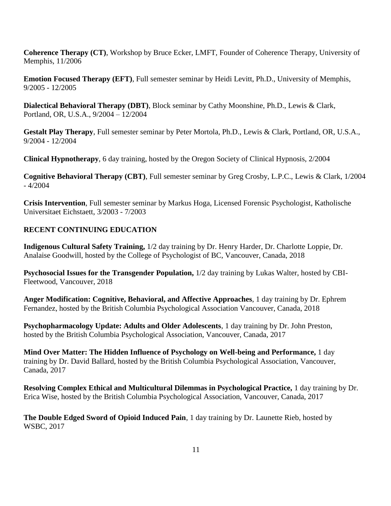**Coherence Therapy (CT)**, Workshop by Bruce Ecker, LMFT, Founder of Coherence Therapy, University of Memphis, 11/2006

**Emotion Focused Therapy (EFT)**, Full semester seminar by Heidi Levitt, Ph.D., University of Memphis, 9/2005 - 12/2005

**Dialectical Behavioral Therapy (DBT)**, Block seminar by Cathy Moonshine, Ph.D., Lewis & Clark, Portland, OR, U.S.A., 9/2004 – 12/2004

**Gestalt Play Therapy**, Full semester seminar by Peter Mortola, Ph.D., Lewis & Clark, Portland, OR, U.S.A., 9/2004 - 12/2004

**Clinical Hypnotherapy**, 6 day training, hosted by the Oregon Society of Clinical Hypnosis, 2/2004

**Cognitive Behavioral Therapy (CBT)**, Full semester seminar by Greg Crosby, L.P.C., Lewis & Clark, 1/2004 - 4/2004

**Crisis Intervention**, Full semester seminar by Markus Hoga, Licensed Forensic Psychologist, Katholische Universitaet Eichstaett, 3/2003 - 7/2003

### **RECENT CONTINUING EDUCATION**

**Indigenous Cultural Safety Training,** 1/2 day training by Dr. Henry Harder, Dr. Charlotte Loppie, Dr. Analaise Goodwill, hosted by the College of Psychologist of BC, Vancouver, Canada, 2018

**Psychosocial Issues for the Transgender Population,** 1/2 day training by Lukas Walter, hosted by CBI-Fleetwood, Vancouver, 2018

**Anger Modification: Cognitive, Behavioral, and Affective Approaches**, 1 day training by Dr. Ephrem Fernandez, hosted by the British Columbia Psychological Association Vancouver, Canada, 2018

**Psychopharmacology Update: Adults and Older Adolescents**, 1 day training by Dr. John Preston, hosted by the British Columbia Psychological Association, Vancouver, Canada, 2017

**Mind Over Matter: The Hidden Influence of Psychology on Well-being and Performance,** 1 day training by Dr. David Ballard, hosted by the British Columbia Psychological Association, Vancouver, Canada, 2017

**Resolving Complex Ethical and Multicultural Dilemmas in Psychological Practice,** 1 day training by Dr. Erica Wise, hosted by the British Columbia Psychological Association, Vancouver, Canada, 2017

**The Double Edged Sword of Opioid Induced Pain**, 1 day training by Dr. Launette Rieb, hosted by WSBC, 2017